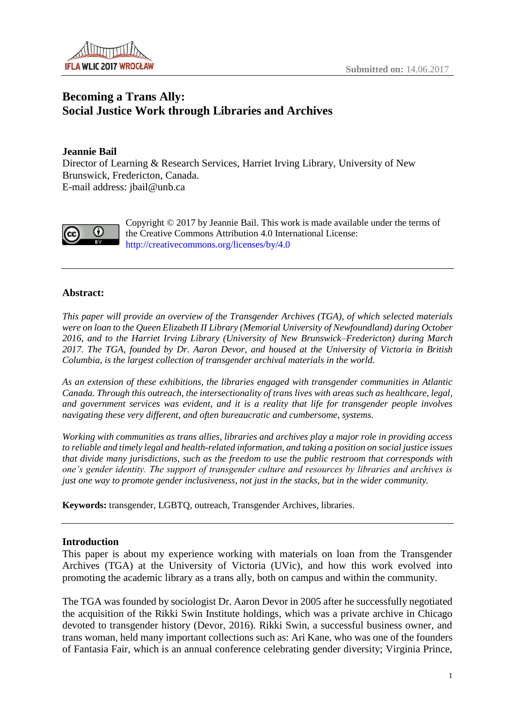

# **Becoming a Trans Ally: Social Justice Work through Libraries and Archives**

# **Jeannie Bail**

Director of Learning & Research Services, Harriet Irving Library, University of New Brunswick, Fredericton, Canada. E-mail address: jbail@unb.ca



Copyright © 2017 by Jeannie Bail. This work is made available under the terms of the Creative Commons Attribution 4.0 International License: <http://creativecommons.org/licenses/by/4.0>

## **Abstract:**

*This paper will provide an overview of the Transgender Archives (TGA), of which selected materials were on loan to the Queen Elizabeth II Library (Memorial University of Newfoundland) during October 2016, and to the Harriet Irving Library (University of New Brunswick–Fredericton) during March 2017. The TGA, founded by Dr. Aaron Devor, and housed at the University of Victoria in British Columbia, is the largest collection of transgender archival materials in the world.*

*As an extension of these exhibitions, the libraries engaged with transgender communities in Atlantic Canada. Through this outreach, the intersectionality of trans lives with areas such as healthcare, legal, and government services was evident, and it is a reality that life for transgender people involves navigating these very different, and often bureaucratic and cumbersome, systems.*

*Working with communities as trans allies, libraries and archives play a major role in providing access to reliable and timely legal and health-related information, and taking a position on social justice issues that divide many jurisdictions, such as the freedom to use the public restroom that corresponds with one's gender identity. The support of transgender culture and resources by libraries and archives is just one way to promote gender inclusiveness, not just in the stacks, but in the wider community.* 

**Keywords:** transgender, LGBTQ, outreach, Transgender Archives, libraries.

### **Introduction**

This paper is about my experience working with materials on loan from the Transgender Archives (TGA) at the University of Victoria (UVic), and how this work evolved into promoting the academic library as a trans ally, both on campus and within the community.

The TGA was founded by sociologist Dr. Aaron Devor in 2005 after he successfully negotiated the acquisition of the Rikki Swin Institute holdings, which was a private archive in Chicago devoted to transgender history (Devor, 2016). Rikki Swin, a successful business owner, and trans woman, held many important collections such as: Ari Kane, who was one of the founders of Fantasia Fair, which is an annual conference celebrating gender diversity; Virginia Prince,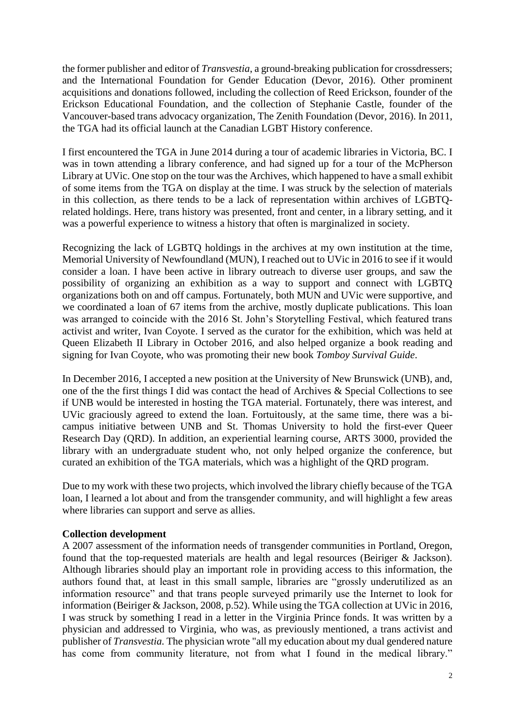the former publisher and editor of *Transvestia*, a ground-breaking publication for crossdressers; and the International Foundation for Gender Education (Devor, 2016). Other prominent acquisitions and donations followed, including the collection of Reed Erickson, founder of the Erickson Educational Foundation, and the collection of Stephanie Castle, founder of the Vancouver-based trans advocacy organization, The Zenith Foundation (Devor, 2016). In 2011, the TGA had its official launch at the Canadian LGBT History conference.

I first encountered the TGA in June 2014 during a tour of academic libraries in Victoria, BC. I was in town attending a library conference, and had signed up for a tour of the McPherson Library at UVic. One stop on the tour was the Archives, which happened to have a small exhibit of some items from the TGA on display at the time. I was struck by the selection of materials in this collection, as there tends to be a lack of representation within archives of LGBTQrelated holdings. Here, trans history was presented, front and center, in a library setting, and it was a powerful experience to witness a history that often is marginalized in society.

Recognizing the lack of LGBTQ holdings in the archives at my own institution at the time, Memorial University of Newfoundland (MUN), I reached out to UVic in 2016 to see if it would consider a loan. I have been active in library outreach to diverse user groups, and saw the possibility of organizing an exhibition as a way to support and connect with LGBTQ organizations both on and off campus. Fortunately, both MUN and UVic were supportive, and we coordinated a loan of 67 items from the archive, mostly duplicate publications. This loan was arranged to coincide with the 2016 St. John's Storytelling Festival, which featured trans activist and writer, Ivan Coyote. I served as the curator for the exhibition, which was held at Queen Elizabeth II Library in October 2016, and also helped organize a book reading and signing for Ivan Coyote, who was promoting their new book *Tomboy Survival Guide*.

In December 2016, I accepted a new position at the University of New Brunswick (UNB), and, one of the the first things I did was contact the head of Archives & Special Collections to see if UNB would be interested in hosting the TGA material. Fortunately, there was interest, and UVic graciously agreed to extend the loan. Fortuitously, at the same time, there was a bicampus initiative between UNB and St. Thomas University to hold the first-ever Queer Research Day (QRD). In addition, an experiential learning course, ARTS 3000, provided the library with an undergraduate student who, not only helped organize the conference, but curated an exhibition of the TGA materials, which was a highlight of the QRD program.

Due to my work with these two projects, which involved the library chiefly because of the TGA loan, I learned a lot about and from the transgender community, and will highlight a few areas where libraries can support and serve as allies.

### **Collection development**

A 2007 assessment of the information needs of transgender communities in Portland, Oregon, found that the top-requested materials are health and legal resources (Beiriger & Jackson). Although libraries should play an important role in providing access to this information, the authors found that, at least in this small sample, libraries are "grossly underutilized as an information resource" and that trans people surveyed primarily use the Internet to look for information (Beiriger & Jackson, 2008, p.52). While using the TGA collection at UVic in 2016, I was struck by something I read in a letter in the Virginia Prince fonds. It was written by a physician and addressed to Virginia, who was, as previously mentioned, a trans activist and publisher of *Transvestia.* The physician wrote "all my education about my dual gendered nature has come from community literature, not from what I found in the medical library."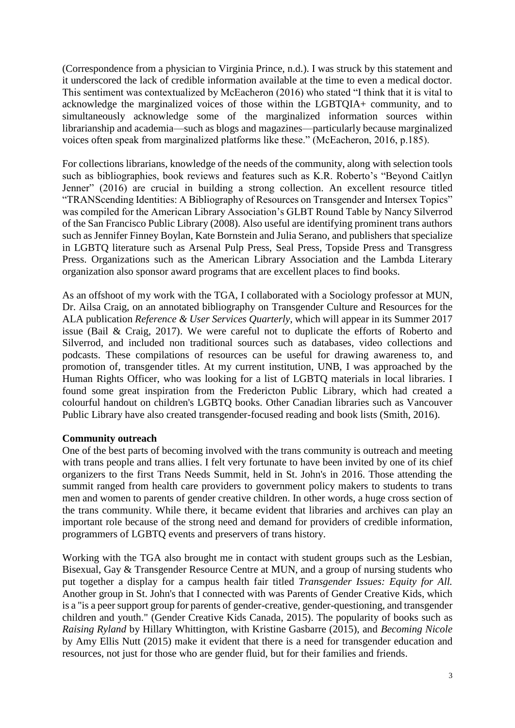(Correspondence from a physician to Virginia Prince, n.d.). I was struck by this statement and it underscored the lack of credible information available at the time to even a medical doctor. This sentiment was contextualized by McEacheron (2016) who stated "I think that it is vital to acknowledge the marginalized voices of those within the LGBTQIA+ community, and to simultaneously acknowledge some of the marginalized information sources within librarianship and academia—such as blogs and magazines—particularly because marginalized voices often speak from marginalized platforms like these." (McEacheron, 2016, p.185).

For collections librarians, knowledge of the needs of the community, along with selection tools such as bibliographies, book reviews and features such as K.R. Roberto's "Beyond Caitlyn Jenner" (2016) are crucial in building a strong collection. An excellent resource titled "TRANScending Identities: A Bibliography of Resources on Transgender and Intersex Topics" was compiled for the American Library Association's GLBT Round Table by Nancy Silverrod of the San Francisco Public Library (2008). Also useful are identifying prominent trans authors such as Jennifer Finney Boylan, Kate Bornstein and Julia Serano, and publishers that specialize in LGBTQ literature such as Arsenal Pulp Press, Seal Press, Topside Press and Transgress Press. Organizations such as the American Library Association and the Lambda Literary organization also sponsor award programs that are excellent places to find books.

As an offshoot of my work with the TGA, I collaborated with a Sociology professor at MUN, Dr. Ailsa Craig, on an annotated bibliography on Transgender Culture and Resources for the ALA publication *Reference & User Services Quarterly*, which will appear in its Summer 2017 issue (Bail & Craig, 2017). We were careful not to duplicate the efforts of Roberto and Silverrod, and included non traditional sources such as databases, video collections and podcasts. These compilations of resources can be useful for drawing awareness to, and promotion of, transgender titles. At my current institution, UNB, I was approached by the Human Rights Officer, who was looking for a list of LGBTQ materials in local libraries. I found some great inspiration from the Fredericton Public Library, which had created a colourful handout on children's LGBTQ books. Other Canadian libraries such as Vancouver Public Library have also created transgender-focused reading and book lists (Smith, 2016).

### **Community outreach**

One of the best parts of becoming involved with the trans community is outreach and meeting with trans people and trans allies. I felt very fortunate to have been invited by one of its chief organizers to the first Trans Needs Summit, held in St. John's in 2016. Those attending the summit ranged from health care providers to government policy makers to students to trans men and women to parents of gender creative children. In other words, a huge cross section of the trans community. While there, it became evident that libraries and archives can play an important role because of the strong need and demand for providers of credible information, programmers of LGBTQ events and preservers of trans history.

Working with the TGA also brought me in contact with student groups such as the Lesbian, Bisexual, Gay & Transgender Resource Centre at MUN, and a group of nursing students who put together a display for a campus health fair titled *Transgender Issues: Equity for All.* Another group in St. John's that I connected with was Parents of Gender Creative Kids, which is a "is a peer support group for parents of gender-creative, gender-questioning, and transgender children and youth." (Gender Creative Kids Canada, 2015). The popularity of books such as *Raising Ryland* by Hillary Whittington, with Kristine Gasbarre (2015), and *Becoming Nicole* by Amy Ellis Nutt (2015) make it evident that there is a need for transgender education and resources, not just for those who are gender fluid, but for their families and friends.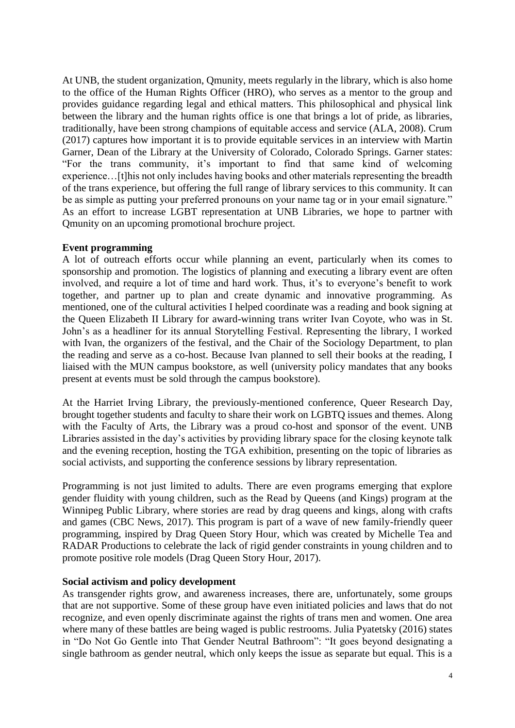At UNB, the student organization, Qmunity, meets regularly in the library, which is also home to the office of the Human Rights Officer (HRO), who serves as a mentor to the group and provides guidance regarding legal and ethical matters. This philosophical and physical link between the library and the human rights office is one that brings a lot of pride, as libraries, traditionally, have been strong champions of equitable access and service (ALA, 2008). Crum (2017) captures how important it is to provide equitable services in an interview with Martin Garner, Dean of the Library at the University of Colorado, Colorado Springs. Garner states: "For the trans community, it's important to find that same kind of welcoming experience…[t]his not only includes having books and other materials representing the breadth of the trans experience, but offering the full range of library services to this community. It can be as simple as putting your preferred pronouns on your name tag or in your email signature." As an effort to increase LGBT representation at UNB Libraries, we hope to partner with Qmunity on an upcoming promotional brochure project.

### **Event programming**

A lot of outreach efforts occur while planning an event, particularly when its comes to sponsorship and promotion. The logistics of planning and executing a library event are often involved, and require a lot of time and hard work. Thus, it's to everyone's benefit to work together, and partner up to plan and create dynamic and innovative programming. As mentioned, one of the cultural activities I helped coordinate was a reading and book signing at the Queen Elizabeth II Library for award-winning trans writer Ivan Coyote, who was in St. John's as a headliner for its annual Storytelling Festival. Representing the library, I worked with Ivan, the organizers of the festival, and the Chair of the Sociology Department, to plan the reading and serve as a co-host. Because Ivan planned to sell their books at the reading, I liaised with the MUN campus bookstore, as well (university policy mandates that any books present at events must be sold through the campus bookstore).

At the Harriet Irving Library, the previously-mentioned conference, Queer Research Day, brought together students and faculty to share their work on LGBTQ issues and themes. Along with the Faculty of Arts, the Library was a proud co-host and sponsor of the event. UNB Libraries assisted in the day's activities by providing library space for the closing keynote talk and the evening reception, hosting the TGA exhibition, presenting on the topic of libraries as social activists, and supporting the conference sessions by library representation.

Programming is not just limited to adults. There are even programs emerging that explore gender fluidity with young children, such as the Read by Queens (and Kings) program at the Winnipeg Public Library, where stories are read by drag queens and kings, along with crafts and games (CBC News, 2017). This program is part of a wave of new family-friendly queer programming, inspired by Drag Queen Story Hour, which was created by Michelle Tea and RADAR Productions to celebrate the lack of rigid gender constraints in young children and to promote positive role models (Drag Queen Story Hour, 2017).

### **Social activism and policy development**

As transgender rights grow, and awareness increases, there are, unfortunately, some groups that are not supportive. Some of these group have even initiated policies and laws that do not recognize, and even openly discriminate against the rights of trans men and women. One area where many of these battles are being waged is public restrooms. Julia Pyatetsky (2016) states in "Do Not Go Gentle into That Gender Neutral Bathroom": "It goes beyond designating a single bathroom as gender neutral, which only keeps the issue as separate but equal. This is a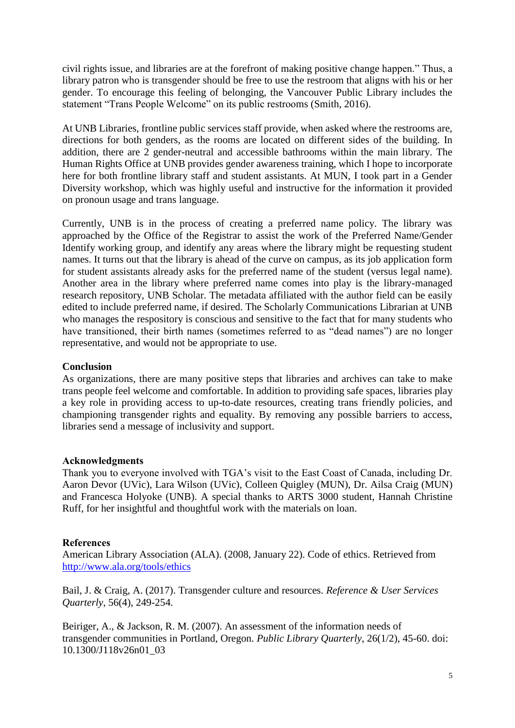civil rights issue, and libraries are at the forefront of making positive change happen." Thus, a library patron who is transgender should be free to use the restroom that aligns with his or her gender. To encourage this feeling of belonging, the Vancouver Public Library includes the statement "Trans People Welcome" on its public restrooms (Smith, 2016).

At UNB Libraries, frontline public services staff provide, when asked where the restrooms are, directions for both genders, as the rooms are located on different sides of the building. In addition, there are 2 gender-neutral and accessible bathrooms within the main library. The Human Rights Office at UNB provides gender awareness training, which I hope to incorporate here for both frontline library staff and student assistants. At MUN, I took part in a Gender Diversity workshop, which was highly useful and instructive for the information it provided on pronoun usage and trans language.

Currently, UNB is in the process of creating a preferred name policy. The library was approached by the Office of the Registrar to assist the work of the Preferred Name/Gender Identify working group, and identify any areas where the library might be requesting student names. It turns out that the library is ahead of the curve on campus, as its job application form for student assistants already asks for the preferred name of the student (versus legal name). Another area in the library where preferred name comes into play is the library-managed research repository, UNB Scholar. The metadata affiliated with the author field can be easily edited to include preferred name, if desired. The Scholarly Communications Librarian at UNB who manages the respository is conscious and sensitive to the fact that for many students who have transitioned, their birth names (sometimes referred to as "dead names") are no longer representative, and would not be appropriate to use.

### **Conclusion**

As organizations, there are many positive steps that libraries and archives can take to make trans people feel welcome and comfortable. In addition to providing safe spaces, libraries play a key role in providing access to up-to-date resources, creating trans friendly policies, and championing transgender rights and equality. By removing any possible barriers to access, libraries send a message of inclusivity and support.

#### **Acknowledgments**

Thank you to everyone involved with TGA's visit to the East Coast of Canada, including Dr. Aaron Devor (UVic), Lara Wilson (UVic), Colleen Quigley (MUN), Dr. Ailsa Craig (MUN) and Francesca Holyoke (UNB). A special thanks to ARTS 3000 student, Hannah Christine Ruff, for her insightful and thoughtful work with the materials on loan.

### **References**

American Library Association (ALA). (2008, January 22). Code of ethics. Retrieved from <http://www.ala.org/tools/ethics>

Bail, J. & Craig, A. (2017). Transgender culture and resources*. Reference & User Services Quarterly*, 56(4), 249-254.

Beiriger, A., & Jackson, R. M. (2007). An assessment of the information needs of transgender communities in Portland, Oregon. *Public Library Quarterly*, 26(1/2), 45-60. doi: 10.1300/J118v26n01\_03